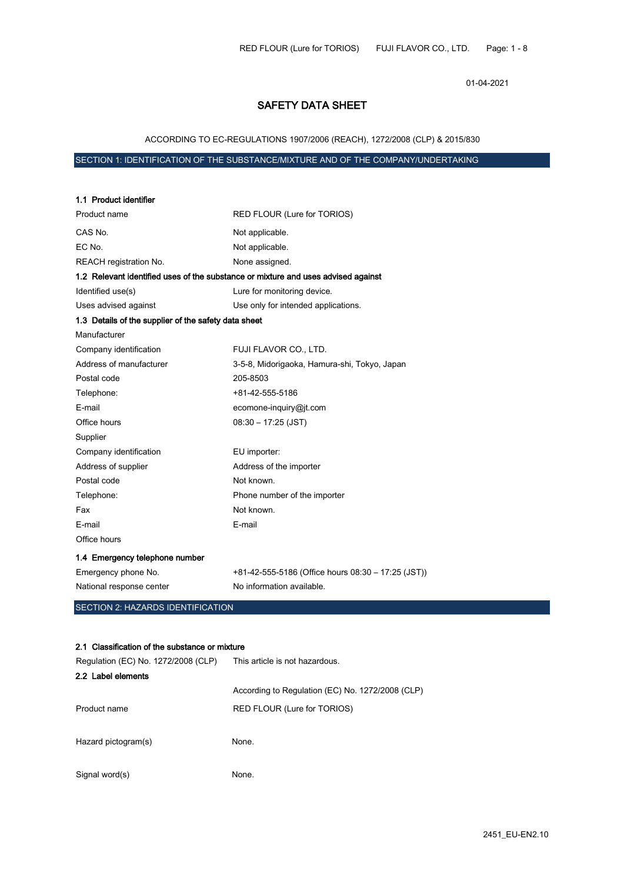01-04-2021

# SAFETY DATA SHEET

## ACCORDING TO EC-REGULATIONS 1907/2006 (REACH), 1272/2008 (CLP) & 2015/830

## SECTION 1: IDENTIFICATION OF THE SUBSTANCE/MIXTURE AND OF THE COMPANY/UNDERTAKING

| 1.1 Product identifier                                                            |                                                    |
|-----------------------------------------------------------------------------------|----------------------------------------------------|
| Product name                                                                      | RED FLOUR (Lure for TORIOS)                        |
| CAS No.                                                                           | Not applicable.                                    |
| EC No.                                                                            | Not applicable.                                    |
| REACH registration No.                                                            | None assigned.                                     |
| 1.2 Relevant identified uses of the substance or mixture and uses advised against |                                                    |
| Identified use(s)                                                                 | Lure for monitoring device.                        |
| Uses advised against                                                              | Use only for intended applications.                |
| 1.3 Details of the supplier of the safety data sheet                              |                                                    |
| Manufacturer                                                                      |                                                    |
| Company identification                                                            | FUJI FLAVOR CO., LTD.                              |
| Address of manufacturer                                                           | 3-5-8, Midorigaoka, Hamura-shi, Tokyo, Japan       |
| Postal code                                                                       | 205-8503                                           |
| Telephone:                                                                        | +81-42-555-5186                                    |
| E-mail                                                                            | ecomone-inquiry@jt.com                             |
| Office hours                                                                      | $08:30 - 17:25$ (JST)                              |
| Supplier                                                                          |                                                    |
| Company identification                                                            | EU importer:                                       |
| Address of supplier                                                               | Address of the importer                            |
| Postal code                                                                       | Not known.                                         |
| Telephone:                                                                        | Phone number of the importer                       |
| Fax                                                                               | Not known.                                         |
| E-mail                                                                            | E-mail                                             |
| Office hours                                                                      |                                                    |
| 1.4 Emergency telephone number                                                    |                                                    |
| Emergency phone No.                                                               | +81-42-555-5186 (Office hours 08:30 – 17:25 (JST)) |
| National response center                                                          | No information available.                          |
| SECTION 2: HAZARDS IDENTIFICATION                                                 |                                                    |
|                                                                                   |                                                    |
| 2.1 Classification of the substance or mixture                                    |                                                    |
| Regulation (EC) No. 1272/2008 (CLP)                                               | This article is not hazardous.                     |
| 2.2 Label elements                                                                |                                                    |
|                                                                                   | According to Regulation (EC) No. 1272/2008 (CLP)   |
| Product name                                                                      | RED FLOUR (Lure for TORIOS)                        |
|                                                                                   |                                                    |

Hazard pictogram(s) None.

Signal word(s) None.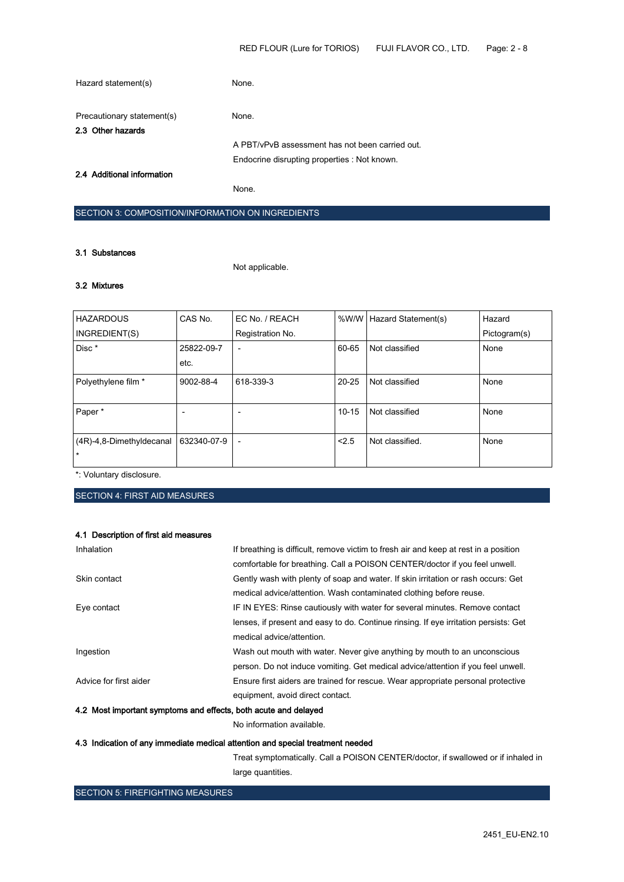| Hazard statement(s)                             | None.                                           |
|-------------------------------------------------|-------------------------------------------------|
| Precautionary statement(s)<br>2.3 Other hazards | None.                                           |
|                                                 | A PBT/vPvB assessment has not been carried out. |
| 2.4 Additional information                      | Endocrine disrupting properties : Not known.    |
|                                                 | None.                                           |

## SECTION 3: COMPOSITION/INFORMATION ON INGREDIENTS

### 3.1 Substances

Not applicable.

# 3.2 Mixtures

| <b>HAZARDOUS</b>         | CAS No.     | EC No. / REACH           | %W/W      | Hazard Statement(s) | Hazard       |
|--------------------------|-------------|--------------------------|-----------|---------------------|--------------|
| INGREDIENT(S)            |             | Registration No.         |           |                     | Pictogram(s) |
| Disc*                    | 25822-09-7  | ٠                        | 60-65     | Not classified      | None         |
|                          | etc.        |                          |           |                     |              |
| Polyethylene film *      | 9002-88-4   | 618-339-3                | $20 - 25$ | Not classified      | None         |
|                          |             |                          |           |                     |              |
| Paper*                   |             |                          | $10 - 15$ | Not classified      | None         |
|                          |             |                          |           |                     |              |
| (4R)-4,8-Dimethyldecanal | 632340-07-9 | $\overline{\phantom{a}}$ | 2.5       | Not classified.     | None         |
| $\star$                  |             |                          |           |                     |              |

\*: Voluntary disclosure.

SECTION 4: FIRST AID MEASURES

## 4.1 Description of first aid measures

| 4.2 Most important symptoms and effects, both acute and delayed |                                                                                      |
|-----------------------------------------------------------------|--------------------------------------------------------------------------------------|
|                                                                 | equipment, avoid direct contact.                                                     |
| Advice for first aider                                          | Ensure first aiders are trained for rescue. Wear appropriate personal protective     |
|                                                                 | person. Do not induce vomiting. Get medical advice/attention if you feel unwell.     |
| Ingestion                                                       | Wash out mouth with water. Never give anything by mouth to an unconscious            |
|                                                                 | medical advice/attention.                                                            |
|                                                                 | lenses, if present and easy to do. Continue rinsing. If eye irritation persists: Get |
| Eye contact                                                     | IF IN EYES: Rinse cautiously with water for several minutes. Remove contact          |
|                                                                 | medical advice/attention. Wash contaminated clothing before reuse.                   |
| Skin contact                                                    | Gently wash with plenty of soap and water. If skin irritation or rash occurs: Get    |
|                                                                 | comfortable for breathing. Call a POISON CENTER/doctor if you feel unwell.           |
| Inhalation                                                      | If breathing is difficult, remove victim to fresh air and keep at rest in a position |

No information available.

## 4.3 Indication of any immediate medical attention and special treatment needed

Treat symptomatically. Call a POISON CENTER/doctor, if swallowed or if inhaled in large quantities.

## SECTION 5: FIREFIGHTING MEASURES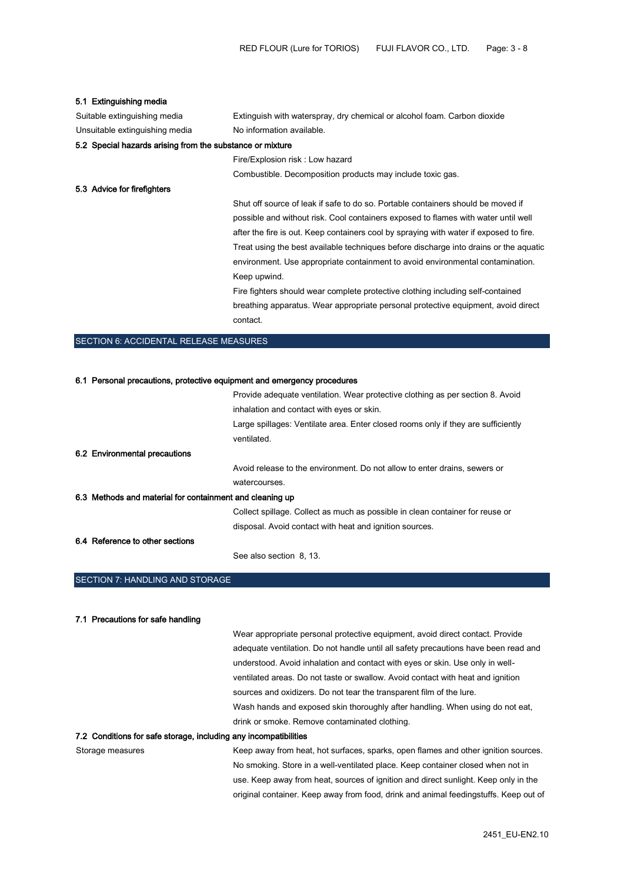## 5.1 Extinguishing media

| Suitable extinguishing media                              | Extinguish with waterspray, dry chemical or alcohol foam. Carbon dioxide               |
|-----------------------------------------------------------|----------------------------------------------------------------------------------------|
| Unsuitable extinguishing media                            | No information available.                                                              |
| 5.2 Special hazards arising from the substance or mixture |                                                                                        |
|                                                           | Fire/Explosion risk: Low hazard                                                        |
|                                                           | Combustible. Decomposition products may include toxic gas.                             |
| 5.3 Advice for firefighters                               |                                                                                        |
|                                                           | Shut off source of leak if safe to do so. Portable containers should be moved if       |
|                                                           | possible and without risk. Cool containers exposed to flames with water until well     |
|                                                           | after the fire is out. Keep containers cool by spraying with water if exposed to fire. |
|                                                           | Treat using the best available techniques before discharge into drains or the aquatic  |
|                                                           | environment. Use appropriate containment to avoid environmental contamination.         |
|                                                           | Keep upwind.                                                                           |
|                                                           | Fire fighters should wear complete protective clothing including self-contained        |
|                                                           | breathing apparatus. Wear appropriate personal protective equipment, avoid direct      |
|                                                           | contact.                                                                               |
|                                                           |                                                                                        |

### SECTION 6: ACCIDENTAL RELEASE MEASURES

### 6.1 Personal precautions, protective equipment and emergency procedures Provide adequate ventilation. Wear protective clothing as per section 8. Avoid

|                                                          | The ride adoquate voluntility. Would protective clothing as por sociion of Avoia  |
|----------------------------------------------------------|-----------------------------------------------------------------------------------|
|                                                          | inhalation and contact with eyes or skin.                                         |
|                                                          | Large spillages: Ventilate area. Enter closed rooms only if they are sufficiently |
|                                                          | ventilated.                                                                       |
| 6.2 Environmental precautions                            |                                                                                   |
|                                                          | Avoid release to the environment. Do not allow to enter drains, sewers or         |
|                                                          | watercourses.                                                                     |
| 6.3 Methods and material for containment and cleaning up |                                                                                   |
|                                                          | Collect spillage. Collect as much as possible in clean container for reuse or     |
|                                                          | disposal. Avoid contact with heat and ignition sources.                           |
| 6.4 Reference to other sections                          |                                                                                   |
|                                                          | See also section 8, 13.                                                           |

### SECTION 7: HANDLING AND STORAGE

#### 7.1 Precautions for safe handling

Wear appropriate personal protective equipment, avoid direct contact. Provide adequate ventilation. Do not handle until all safety precautions have been read and understood. Avoid inhalation and contact with eyes or skin. Use only in wellventilated areas. Do not taste or swallow. Avoid contact with heat and ignition sources and oxidizers. Do not tear the transparent film of the lure. Wash hands and exposed skin thoroughly after handling. When using do not eat, drink or smoke. Remove contaminated clothing.

### 7.2 Conditions for safe storage, including any incompatibilities

Storage measures **Keep away from heat, hot surfaces, sparks**, open flames and other ignition sources. No smoking. Store in a well-ventilated place. Keep container closed when not in use. Keep away from heat, sources of ignition and direct sunlight. Keep only in the original container. Keep away from food, drink and animal feedingstuffs. Keep out of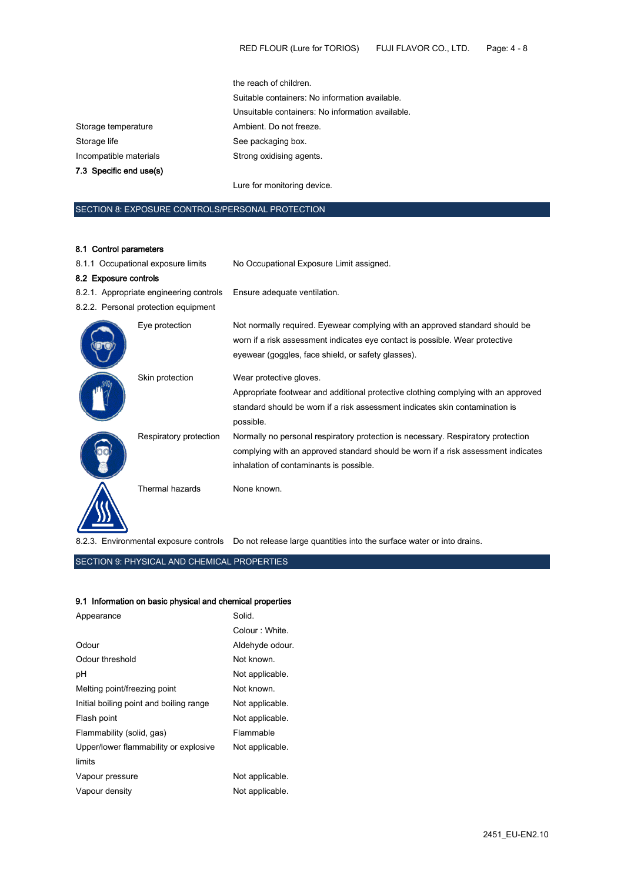|                         | the reach of children.                           |
|-------------------------|--------------------------------------------------|
|                         | Suitable containers: No information available.   |
|                         | Unsuitable containers: No information available. |
| Storage temperature     | Ambient. Do not freeze.                          |
| Storage life            | See packaging box.                               |
| Incompatible materials  | Strong oxidising agents.                         |
| 7.3 Specific end use(s) |                                                  |
|                         | Lure for monitoring device.                      |
|                         |                                                  |

# SECTION 8: EXPOSURE CONTROLS/PERSONAL PROTECTION

## 8.1 Control parameters

| 8.1.1 Occupational exposure limits      |                                      | No Occupational Exposure Limit assigned.                                                                                                                                                                           |  |
|-----------------------------------------|--------------------------------------|--------------------------------------------------------------------------------------------------------------------------------------------------------------------------------------------------------------------|--|
| 8.2 Exposure controls                   |                                      |                                                                                                                                                                                                                    |  |
| 8.2.1. Appropriate engineering controls |                                      | Ensure adequate ventilation.                                                                                                                                                                                       |  |
|                                         | 8.2.2. Personal protection equipment |                                                                                                                                                                                                                    |  |
|                                         | Eye protection                       | Not normally required. Eyewear complying with an approved standard should be<br>worn if a risk assessment indicates eye contact is possible. Wear protective<br>eyewear (goggles, face shield, or safety glasses). |  |
|                                         | Skin protection                      | Wear protective gloves.<br>Appropriate footwear and additional protective clothing complying with an approved<br>standard should be worn if a risk assessment indicates skin contamination is<br>possible.         |  |
|                                         | Respiratory protection               | Normally no personal respiratory protection is necessary. Respiratory protection<br>complying with an approved standard should be worn if a risk assessment indicates<br>inhalation of contaminants is possible.   |  |
|                                         | Thermal hazards                      | None known.                                                                                                                                                                                                        |  |

8.2.3. Environmental exposure controls Do not release large quantities into the surface water or into drains.

## SECTION 9: PHYSICAL AND CHEMICAL PROPERTIES

## 9.1 Information on basic physical and chemical properties

| Appearance                              | Solid.          |
|-----------------------------------------|-----------------|
|                                         | Colour: White.  |
| Odour                                   | Aldehyde odour. |
| Odour threshold                         | Not known.      |
| рH                                      | Not applicable. |
| Melting point/freezing point            | Not known.      |
| Initial boiling point and boiling range | Not applicable. |
| Flash point                             | Not applicable. |
| Flammability (solid, gas)               | Flammable       |
| Upper/lower flammability or explosive   | Not applicable. |
| limits                                  |                 |
| Vapour pressure                         | Not applicable. |
| Vapour density                          | Not applicable. |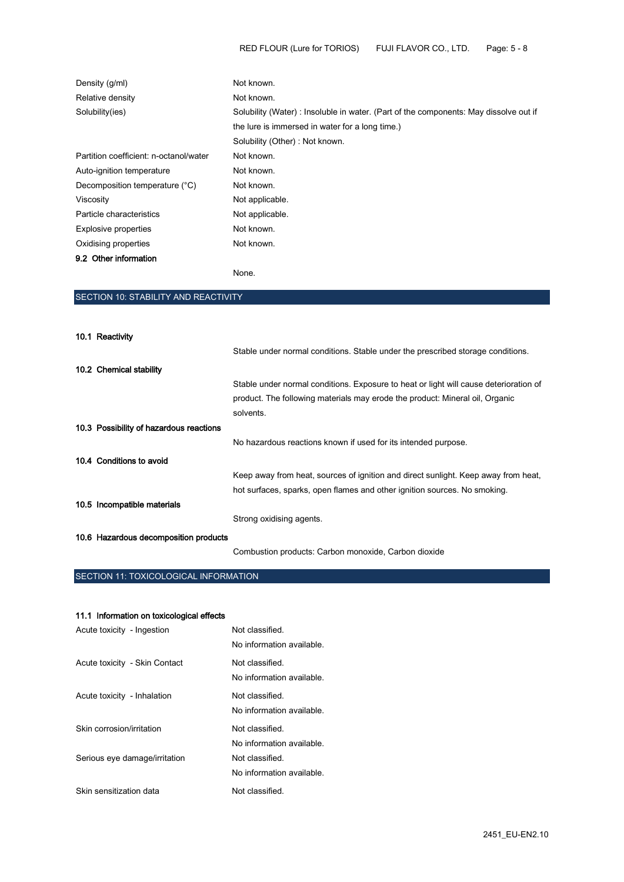| Density (g/ml)                         | Not known.                                                                           |  |
|----------------------------------------|--------------------------------------------------------------------------------------|--|
| Relative density                       | Not known.                                                                           |  |
| Solubility(ies)                        | Solubility (Water): Insoluble in water. (Part of the components: May dissolve out if |  |
|                                        | the lure is immersed in water for a long time.)                                      |  |
|                                        | Solubility (Other): Not known.                                                       |  |
| Partition coefficient: n-octanol/water | Not known.                                                                           |  |
| Auto-ignition temperature              | Not known.                                                                           |  |
| Decomposition temperature (°C)         | Not known.                                                                           |  |
| Viscosity                              | Not applicable.                                                                      |  |
| Particle characteristics               | Not applicable.                                                                      |  |
| <b>Explosive properties</b>            | Not known.                                                                           |  |
| Oxidising properties                   | Not known.                                                                           |  |
| 9.2 Other information                  |                                                                                      |  |

None.

# SECTION 10: STABILITY AND REACTIVITY

| 10.1 Reactivity                         |                                                                                       |
|-----------------------------------------|---------------------------------------------------------------------------------------|
|                                         | Stable under normal conditions. Stable under the prescribed storage conditions.       |
| 10.2 Chemical stability                 |                                                                                       |
|                                         | Stable under normal conditions. Exposure to heat or light will cause deterioration of |
|                                         | product. The following materials may erode the product: Mineral oil, Organic          |
|                                         | solvents.                                                                             |
| 10.3 Possibility of hazardous reactions |                                                                                       |
|                                         | No hazardous reactions known if used for its intended purpose.                        |
| 10.4 Conditions to avoid                |                                                                                       |
|                                         | Keep away from heat, sources of ignition and direct sunlight. Keep away from heat,    |
|                                         | hot surfaces, sparks, open flames and other ignition sources. No smoking.             |
| 10.5 Incompatible materials             |                                                                                       |
|                                         | Strong oxidising agents.                                                              |
| 10.6 Hazardous decomposition products   |                                                                                       |
|                                         | Combustion products: Carbon monoxide, Carbon dioxide                                  |

# SECTION 11: TOXICOLOGICAL INFORMATION

## 11.1 Information on toxicological effects

| Acute toxicity - Ingestion    | Not classified.<br>No information available. |
|-------------------------------|----------------------------------------------|
| Acute toxicity - Skin Contact | Not classified.<br>No information available. |
| Acute toxicity - Inhalation   | Not classified.<br>No information available. |
| Skin corrosion/irritation     | Not classified<br>No information available.  |
| Serious eye damage/irritation | Not classified.<br>No information available. |
| Skin sensitization data       | Not classified.                              |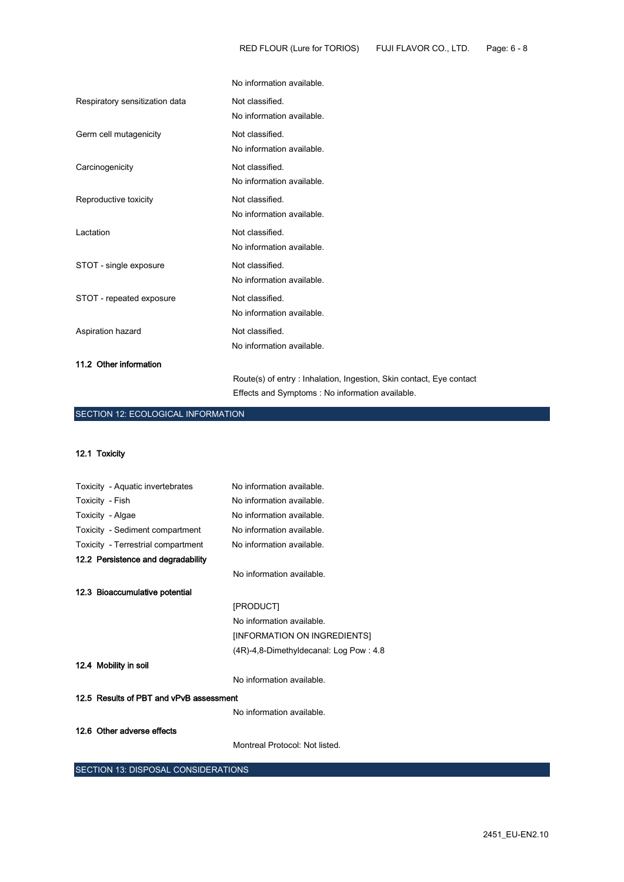|                                | No information available.                                           |
|--------------------------------|---------------------------------------------------------------------|
| Respiratory sensitization data | Not classified.                                                     |
|                                | No information available.                                           |
| Germ cell mutagenicity         | Not classified.                                                     |
|                                | No information available.                                           |
| Carcinogenicity                | Not classified.                                                     |
|                                | No information available.                                           |
| Reproductive toxicity          | Not classified.                                                     |
|                                | No information available.                                           |
| Lactation                      | Not classified.                                                     |
|                                | No information available.                                           |
| STOT - single exposure         | Not classified.                                                     |
|                                | No information available.                                           |
| STOT - repeated exposure       | Not classified.                                                     |
|                                | No information available.                                           |
| Aspiration hazard              | Not classified.                                                     |
|                                | No information available.                                           |
| 11.2 Other information         |                                                                     |
|                                | Route(s) of entry: Inhalation, Ingestion, Skin contact, Eye contact |

Effects and Symptoms : No information available.

# SECTION 12: ECOLOGICAL INFORMATION

12.1 Toxicity

| Toxicity - Aquatic invertebrates        | No information available.              |
|-----------------------------------------|----------------------------------------|
| Toxicity - Fish                         | No information available.              |
| Toxicity - Algae                        | No information available.              |
| Toxicity - Sediment compartment         | No information available.              |
| Toxicity - Terrestrial compartment      | No information available.              |
| 12.2 Persistence and degradability      |                                        |
|                                         | No information available.              |
| 12.3 Bioaccumulative potential          |                                        |
|                                         | [PRODUCT]                              |
|                                         | No information available.              |
|                                         | [INFORMATION ON INGREDIENTS]           |
|                                         | (4R)-4,8-Dimethyldecanal: Log Pow: 4.8 |
| 12.4 Mobility in soil                   |                                        |
|                                         | No information available.              |
| 12.5 Results of PBT and vPvB assessment |                                        |
|                                         | No information available.              |
| 12.6 Other adverse effects              |                                        |
|                                         | Montreal Protocol: Not listed.         |

SECTION 13: DISPOSAL CONSIDERATIONS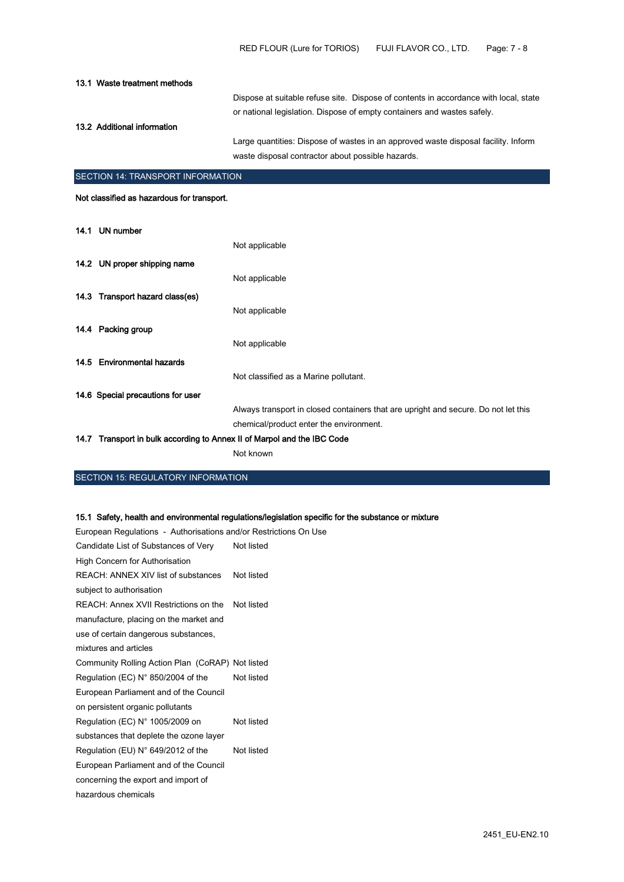| 13.1 Waste treatment methods |                                                                                      |
|------------------------------|--------------------------------------------------------------------------------------|
|                              | Dispose at suitable refuse site. Dispose of contents in accordance with local, state |
|                              | or national legislation. Dispose of empty containers and wastes safely.              |
| 13.2 Additional information  |                                                                                      |
|                              | Large quantities: Dispose of wastes in an approved waste disposal facility. Inform   |
|                              | waste disposal contractor about possible hazards.                                    |
|                              |                                                                                      |

## SECTION 14: TRANSPORT INFORMATION

Not classified as hazardous for transport.

| 14.1 UN number                                                          |                                                                                    |
|-------------------------------------------------------------------------|------------------------------------------------------------------------------------|
|                                                                         | Not applicable                                                                     |
| 14.2 UN proper shipping name                                            |                                                                                    |
|                                                                         | Not applicable                                                                     |
| 14.3 Transport hazard class(es)                                         |                                                                                    |
|                                                                         | Not applicable                                                                     |
| 14.4 Packing group                                                      |                                                                                    |
|                                                                         | Not applicable                                                                     |
| 14.5 Environmental hazards                                              |                                                                                    |
|                                                                         | Not classified as a Marine pollutant.                                              |
| 14.6 Special precautions for user                                       |                                                                                    |
|                                                                         | Always transport in closed containers that are upright and secure. Do not let this |
|                                                                         | chemical/product enter the environment.                                            |
| 14.7 Transport in bulk according to Annex II of Marpol and the IBC Code |                                                                                    |
|                                                                         | Not known                                                                          |

# SECTION 15: REGULATORY INFORMATION

15.1 Safety, health and environmental regulations/legislation specific for the substance or mixture

European Regulations - Authorisations and/or Restrictions On Use

| Candidate List of Substances of Very<br>Not listed |            |  |
|----------------------------------------------------|------------|--|
| <b>High Concern for Authorisation</b>              |            |  |
| REACH: ANNEX XIV list of substances                | Not listed |  |
| subject to authorisation                           |            |  |
| REACH: Annex XVII Restrictions on the Not listed   |            |  |
| manufacture, placing on the market and             |            |  |
| use of certain dangerous substances,               |            |  |
| mixtures and articles                              |            |  |
| Community Rolling Action Plan (CoRAP) Not listed   |            |  |
| Regulation (EC) $N^{\circ}$ 850/2004 of the        | Not listed |  |
| European Parliament and of the Council             |            |  |
| on persistent organic pollutants                   |            |  |
| Regulation (EC) $N^{\circ}$ 1005/2009 on           | Not listed |  |
| substances that deplete the ozone layer            |            |  |
| Regulation (EU) $N^{\circ}$ 649/2012 of the        | Not listed |  |
| European Parliament and of the Council             |            |  |
| concerning the export and import of                |            |  |
| hazardous chemicals                                |            |  |